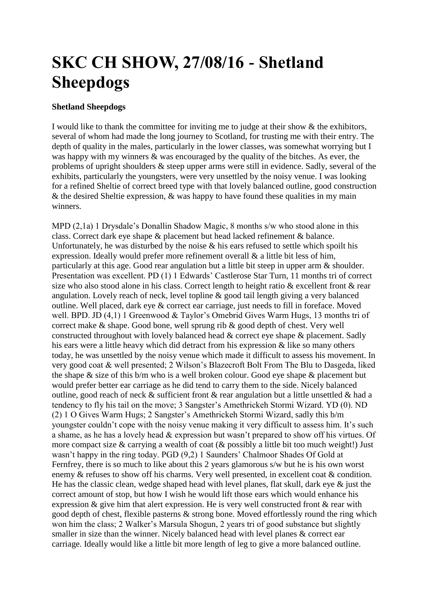## **SKC CH SHOW, 27/08/16 - Shetland Sheepdogs**

## **Shetland Sheepdogs**

I would like to thank the committee for inviting me to judge at their show & the exhibitors, several of whom had made the long journey to Scotland, for trusting me with their entry. The depth of quality in the males, particularly in the lower classes, was somewhat worrying but I was happy with my winners & was encouraged by the quality of the bitches. As ever, the problems of upright shoulders & steep upper arms were still in evidence. Sadly, several of the exhibits, particularly the youngsters, were very unsettled by the noisy venue. I was looking for a refined Sheltie of correct breed type with that lovely balanced outline, good construction & the desired Sheltie expression, & was happy to have found these qualities in my main winners.

MPD (2,1a) 1 Drysdale's Donallin Shadow Magic, 8 months s/w who stood alone in this class. Correct dark eye shape & placement but head lacked refinement & balance. Unfortunately, he was disturbed by the noise  $\&$  his ears refused to settle which spoilt his expression. Ideally would prefer more refinement overall & a little bit less of him, particularly at this age. Good rear angulation but a little bit steep in upper arm & shoulder. Presentation was excellent. PD (1) 1 Edwards' Castlerose Star Turn, 11 months tri of correct size who also stood alone in his class. Correct length to height ratio  $\&$  excellent front  $\&$  rear angulation. Lovely reach of neck, level topline & good tail length giving a very balanced outline. Well placed, dark eye & correct ear carriage, just needs to fill in foreface. Moved well. BPD. JD (4,1) 1 Greenwood & Taylor's Omebrid Gives Warm Hugs, 13 months tri of correct make & shape. Good bone, well sprung rib & good depth of chest. Very well constructed throughout with lovely balanced head & correct eye shape & placement. Sadly his ears were a little heavy which did detract from his expression & like so many others today, he was unsettled by the noisy venue which made it difficult to assess his movement. In very good coat & well presented; 2 Wilson's Blazecroft Bolt From The Blu to Dasgeda, liked the shape & size of this b/m who is a well broken colour. Good eye shape & placement but would prefer better ear carriage as he did tend to carry them to the side. Nicely balanced outline, good reach of neck & sufficient front & rear angulation but a little unsettled & had a tendency to fly his tail on the move; 3 Sangster's Amethrickeh Stormi Wizard. YD (0). ND (2) 1 O Gives Warm Hugs; 2 Sangster's Amethrickeh Stormi Wizard, sadly this b/m youngster couldn't cope with the noisy venue making it very difficult to assess him. It's such a shame, as he has a lovely head & expression but wasn't prepared to show off his virtues. Of more compact size & carrying a wealth of coat (& possibly a little bit too much weight!) Just wasn't happy in the ring today. PGD (9,2) 1 Saunders' Chalmoor Shades Of Gold at Fernfrey, there is so much to like about this 2 years glamorous s/w but he is his own worst enemy & refuses to show off his charms. Very well presented, in excellent coat & condition. He has the classic clean, wedge shaped head with level planes, flat skull, dark eye & just the correct amount of stop, but how I wish he would lift those ears which would enhance his expression & give him that alert expression. He is very well constructed front & rear with good depth of chest, flexible pasterns & strong bone. Moved effortlessly round the ring which won him the class; 2 Walker's Marsula Shogun, 2 years tri of good substance but slightly smaller in size than the winner. Nicely balanced head with level planes & correct ear carriage. Ideally would like a little bit more length of leg to give a more balanced outline.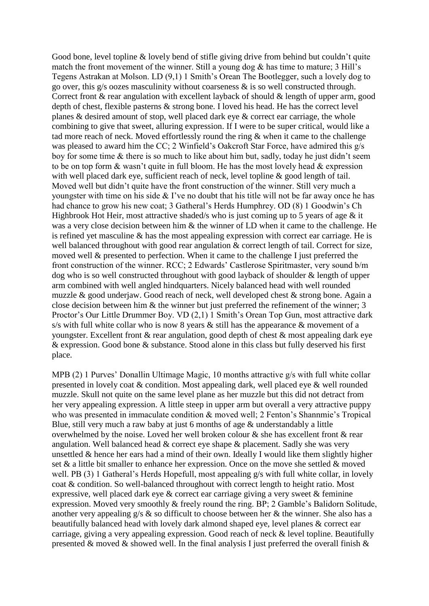Good bone, level topline & lovely bend of stifle giving drive from behind but couldn't quite match the front movement of the winner. Still a young dog  $\&$  has time to mature; 3 Hill's Tegens Astrakan at Molson. LD (9,1) 1 Smith's Orean The Bootlegger, such a lovely dog to go over, this  $g/s$  oozes masculinity without coarseness  $\&$  is so well constructed through. Correct front & rear angulation with excellent layback of should & length of upper arm, good depth of chest, flexible pasterns & strong bone. I loved his head. He has the correct level planes & desired amount of stop, well placed dark eye & correct ear carriage, the whole combining to give that sweet, alluring expression. If I were to be super critical, would like a tad more reach of neck. Moved effortlessly round the ring & when it came to the challenge was pleased to award him the CC; 2 Winfield's Oakcroft Star Force, have admired this g/s boy for some time & there is so much to like about him but, sadly, today he just didn't seem to be on top form & wasn't quite in full bloom. He has the most lovely head & expression with well placed dark eye, sufficient reach of neck, level topline & good length of tail. Moved well but didn't quite have the front construction of the winner. Still very much a youngster with time on his side  $&$  I've no doubt that his title will not be far away once he has had chance to grow his new coat; 3 Gatheral's Herds Humphrey. OD (8) 1 Goodwin's Ch Highbrook Hot Heir, most attractive shaded/s who is just coming up to 5 years of age & it was a very close decision between him & the winner of LD when it came to the challenge. He is refined yet masculine  $\&$  has the most appealing expression with correct ear carriage. He is well balanced throughout with good rear angulation  $\&$  correct length of tail. Correct for size, moved well & presented to perfection. When it came to the challenge I just preferred the front construction of the winner. RCC; 2 Edwards' Castlerose Spiritmaster, very sound b/m dog who is so well constructed throughout with good layback of shoulder & length of upper arm combined with well angled hindquarters. Nicely balanced head with well rounded muzzle & good underjaw. Good reach of neck, well developed chest & strong bone. Again a close decision between him & the winner but just preferred the refinement of the winner; 3 Proctor's Our Little Drummer Boy. VD (2,1) 1 Smith's Orean Top Gun, most attractive dark s/s with full white collar who is now 8 years  $\&$  still has the appearance  $\&$  movement of a youngster. Excellent front & rear angulation, good depth of chest & most appealing dark eye & expression. Good bone & substance. Stood alone in this class but fully deserved his first place.

MPB (2) 1 Purves' Donallin Ultimage Magic, 10 months attractive g/s with full white collar presented in lovely coat & condition. Most appealing dark, well placed eye & well rounded muzzle. Skull not quite on the same level plane as her muzzle but this did not detract from her very appealing expression. A little steep in upper arm but overall a very attractive puppy who was presented in immaculate condition & moved well; 2 Fenton's Shannmie's Tropical Blue, still very much a raw baby at just 6 months of age & understandably a little overwhelmed by the noise. Loved her well broken colour & she has excellent front & rear angulation. Well balanced head & correct eye shape & placement. Sadly she was very unsettled & hence her ears had a mind of their own. Ideally I would like them slightly higher set & a little bit smaller to enhance her expression. Once on the move she settled & moved well. PB (3) 1 Gatheral's Herds Hopefull, most appealing g/s with full white collar, in lovely coat & condition. So well-balanced throughout with correct length to height ratio. Most expressive, well placed dark eye & correct ear carriage giving a very sweet & feminine expression. Moved very smoothly & freely round the ring. BP; 2 Gamble's Balidorn Solitude, another very appealing g/s & so difficult to choose between her & the winner. She also has a beautifully balanced head with lovely dark almond shaped eye, level planes & correct ear carriage, giving a very appealing expression. Good reach of neck & level topline. Beautifully presented & moved & showed well. In the final analysis I just preferred the overall finish  $\&$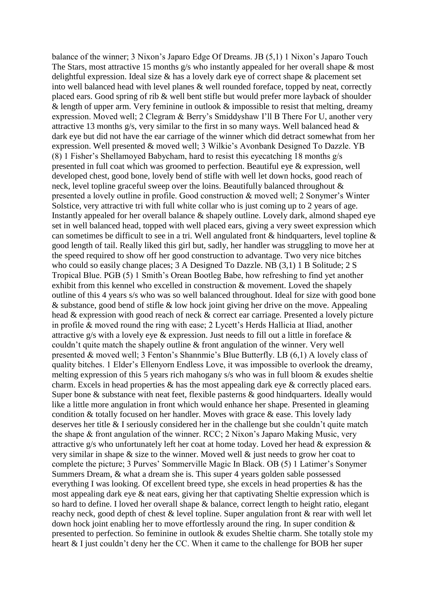balance of the winner; 3 Nixon's Japaro Edge Of Dreams. JB (5,1) 1 Nixon's Japaro Touch The Stars, most attractive 15 months g/s who instantly appealed for her overall shape & most delightful expression. Ideal size & has a lovely dark eye of correct shape & placement set into well balanced head with level planes & well rounded foreface, topped by neat, correctly placed ears. Good spring of rib & well bent stifle but would prefer more layback of shoulder & length of upper arm. Very feminine in outlook & impossible to resist that melting, dreamy expression. Moved well; 2 Clegram & Berry's Smiddyshaw I'll B There For U, another very attractive 13 months g/s, very similar to the first in so many ways. Well balanced head  $\&$ dark eye but did not have the ear carriage of the winner which did detract somewhat from her expression. Well presented & moved well; 3 Wilkie's Avonbank Designed To Dazzle. YB (8) 1 Fisher's Shellamoyed Babycham, hard to resist this eyecatching 18 months g/s presented in full coat which was groomed to perfection. Beautiful eye & expression, well developed chest, good bone, lovely bend of stifle with well let down hocks, good reach of neck, level topline graceful sweep over the loins. Beautifully balanced throughout & presented a lovely outline in profile. Good construction & moved well; 2 Sonymer's Winter Solstice, very attractive tri with full white collar who is just coming up to 2 years of age. Instantly appealed for her overall balance & shapely outline. Lovely dark, almond shaped eye set in well balanced head, topped with well placed ears, giving a very sweet expression which can sometimes be difficult to see in a tri. Well angulated front & hindquarters, level topline & good length of tail. Really liked this girl but, sadly, her handler was struggling to move her at the speed required to show off her good construction to advantage. Two very nice bitches who could so easily change places; 3 A Designed To Dazzle. NB (3,1) 1 B Solitude; 2 S Tropical Blue. PGB (5) 1 Smith's Orean Bootleg Babe, how refreshing to find yet another exhibit from this kennel who excelled in construction & movement. Loved the shapely outline of this 4 years s/s who was so well balanced throughout. Ideal for size with good bone & substance, good bend of stifle & low hock joint giving her drive on the move. Appealing head & expression with good reach of neck & correct ear carriage. Presented a lovely picture in profile & moved round the ring with ease; 2 Lycett's Herds Hallicia at Iliad, another attractive g/s with a lovely eye & expression. Just needs to fill out a little in foreface & couldn't quite match the shapely outline & front angulation of the winner. Very well presented & moved well; 3 Fenton's Shannmie's Blue Butterfly. LB (6,1) A lovely class of quality bitches. 1 Elder's Ellenyorn Endless Love, it was impossible to overlook the dreamy, melting expression of this 5 years rich mahogany s/s who was in full bloom & exudes sheltie charm. Excels in head properties & has the most appealing dark eye & correctly placed ears. Super bone & substance with neat feet, flexible pasterns & good hindquarters. Ideally would like a little more angulation in front which would enhance her shape. Presented in gleaming condition & totally focused on her handler. Moves with grace & ease. This lovely lady deserves her title & I seriously considered her in the challenge but she couldn't quite match the shape & front angulation of the winner. RCC; 2 Nixon's Japaro Making Music, very attractive g/s who unfortunately left her coat at home today. Loved her head & expression & very similar in shape & size to the winner. Moved well & just needs to grow her coat to complete the picture; 3 Purves' Sommerville Magic In Black. OB (5) 1 Latimer's Sonymer Summers Dream, & what a dream she is. This super 4 years golden sable possessed everything I was looking. Of excellent breed type, she excels in head properties & has the most appealing dark eye & neat ears, giving her that captivating Sheltie expression which is so hard to define. I loved her overall shape & balance, correct length to height ratio, elegant reachy neck, good depth of chest & level topline. Super angulation front & rear with well let down hock joint enabling her to move effortlessly around the ring. In super condition & presented to perfection. So feminine in outlook & exudes Sheltie charm. She totally stole my heart & I just couldn't deny her the CC. When it came to the challenge for BOB her super